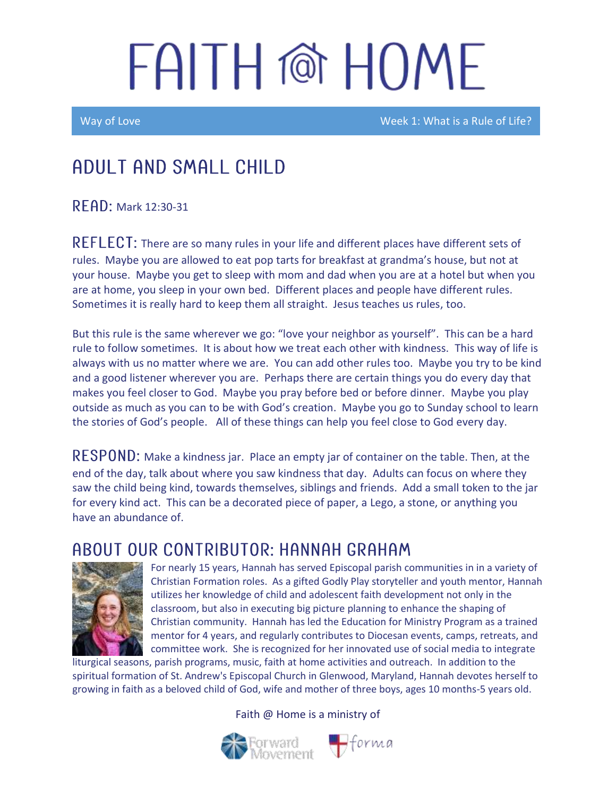# FAITH @ HOME

Way of Love Week 1: What is a Rule of Life?

## Adult and Small Child

 $R$   $F$   $AD$ : Mark 12:30-31

REFLECT: There are so many rules in your life and different places have different sets of rules. Maybe you are allowed to eat pop tarts for breakfast at grandma's house, but not at your house. Maybe you get to sleep with mom and dad when you are at a hotel but when you are at home, you sleep in your own bed. Different places and people have different rules. Sometimes it is really hard to keep them all straight. Jesus teaches us rules, too.

But this rule is the same wherever we go: "love your neighbor as yourself". This can be a hard rule to follow sometimes. It is about how we treat each other with kindness. This way of life is always with us no matter where we are. You can add other rules too. Maybe you try to be kind and a good listener wherever you are. Perhaps there are certain things you do every day that makes you feel closer to God. Maybe you pray before bed or before dinner. Maybe you play outside as much as you can to be with God's creation. Maybe you go to Sunday school to learn the stories of God's people. All of these things can help you feel close to God every day.

 **Make a kindness jar. Place an empty jar of container on the table. Then, at the** end of the day, talk about where you saw kindness that day. Adults can focus on where they saw the child being kind, towards themselves, siblings and friends. Add a small token to the jar for every kind act. This can be a decorated piece of paper, a Lego, a stone, or anything you have an abundance of.

### ABOUT OUR CONTRIBUTOR: HANNAH GRAHAM



For nearly 15 years, Hannah has served Episcopal parish communities in in a variety of Christian Formation roles. As a gifted Godly Play storyteller and youth mentor, Hannah utilizes her knowledge of child and adolescent faith development not only in the classroom, but also in executing big picture planning to enhance the shaping of Christian community. Hannah has led the Education for Ministry Program as a trained mentor for 4 years, and regularly contributes to Diocesan events, camps, retreats, and committee work. She is recognized for her innovated use of social media to integrate

liturgical seasons, parish programs, music, faith at home activities and outreach. In addition to the spiritual formation of St. Andrew's Episcopal Church in Glenwood, Maryland, Hannah devotes herself to growing in faith as a beloved child of God, wife and mother of three boys, ages 10 months-5 years old.

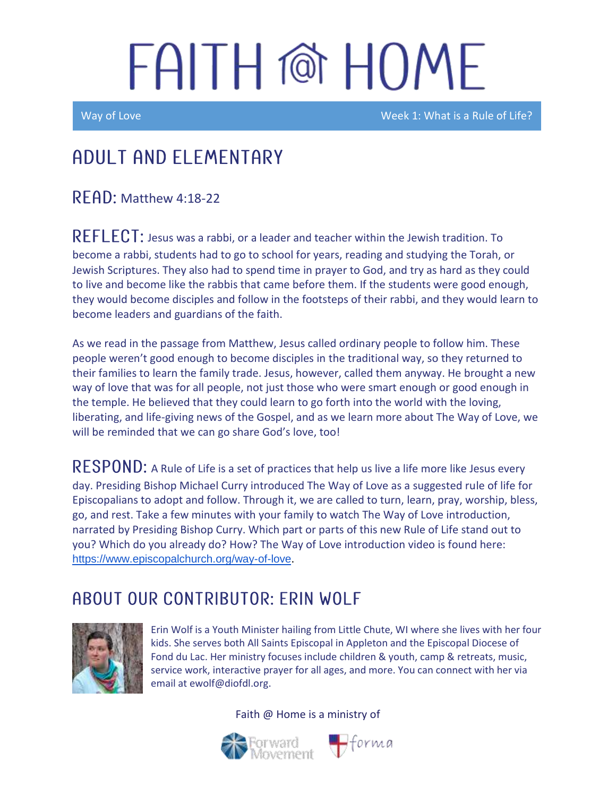# FAITH @ HOME

Way of Love Week 1: What is a Rule of Life?

## Adult and elementary

 $R$  FAD: Matthew 4:18-22

 $REFLECT:$  Jesus was a rabbi, or a leader and teacher within the Jewish tradition. To become a rabbi, students had to go to school for years, reading and studying the Torah, or Jewish Scriptures. They also had to spend time in prayer to God, and try as hard as they could to live and become like the rabbis that came before them. If the students were good enough, they would become disciples and follow in the footsteps of their rabbi, and they would learn to become leaders and guardians of the faith.

As we read in the passage from Matthew, Jesus called ordinary people to follow him. These people weren't good enough to become disciples in the traditional way, so they returned to their families to learn the family trade. Jesus, however, called them anyway. He brought a new way of love that was for all people, not just those who were smart enough or good enough in the temple. He believed that they could learn to go forth into the world with the loving, liberating, and life-giving news of the Gospel, and as we learn more about The Way of Love, we will be reminded that we can go share God's love, too!

RESPOND: A Rule of Life is a set of practices that help us live a life more like Jesus every day. Presiding Bishop Michael Curry introduced The Way of Love as a suggested rule of life for Episcopalians to adopt and follow. Through it, we are called to turn, learn, pray, worship, bless, go, and rest. Take a few minutes with your family to watch The Way of Love introduction, narrated by Presiding Bishop Curry. Which part or parts of this new Rule of Life stand out to you? Which do you already do? How? The Way of Love introduction video is found here: <https://www.episcopalchurch.org/way-of-love>.

### ABOUT OUR CONTRIBUTOR: ERIN WOLF



Erin Wolf is a Youth Minister hailing from Little Chute, WI where she lives with her four kids. She serves both All Saints Episcopal in Appleton and the Episcopal Diocese of Fond du Lac. Her ministry focuses include children & youth, camp & retreats, music, service work, interactive prayer for all ages, and more. You can connect with her via email at ewolf@diofdl.org.



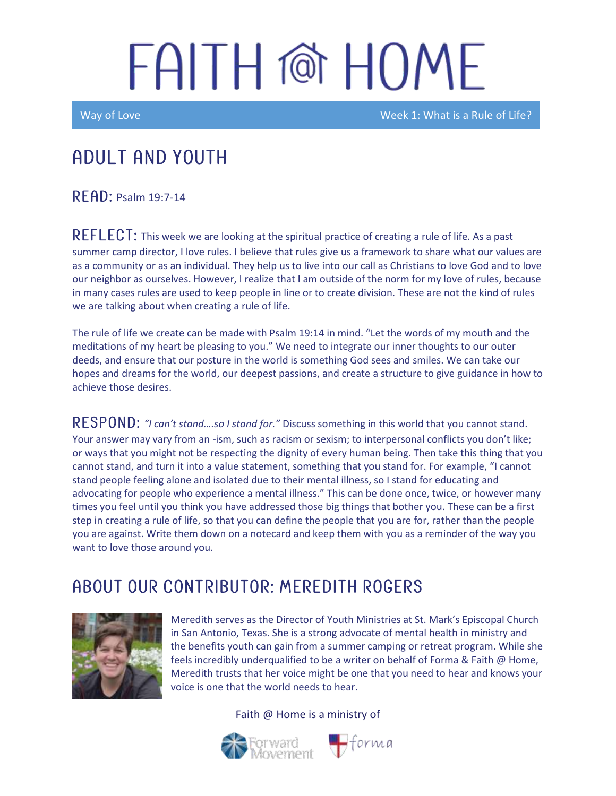## FAITH @ HOME

Way of Love Week 1: What is a Rule of Life?

## Adult and youth

RFAD: Psalm 19:7-14

REFLECT: This week we are looking at the spiritual practice of creating a rule of life. As a past summer camp director, I love rules. I believe that rules give us a framework to share what our values are as a community or as an individual. They help us to live into our call as Christians to love God and to love our neighbor as ourselves. However, I realize that I am outside of the norm for my love of rules, because in many cases rules are used to keep people in line or to create division. These are not the kind of rules we are talking about when creating a rule of life.

The rule of life we create can be made with Psalm 19:14 in mind. "Let the words of my mouth and the meditations of my heart be pleasing to you." We need to integrate our inner thoughts to our outer deeds, and ensure that our posture in the world is something God sees and smiles. We can take our hopes and dreams for the world, our deepest passions, and create a structure to give guidance in how to achieve those desires.

RESPOND: "I can't stand....so I stand for." Discuss something in this world that you cannot stand. Your answer may vary from an -ism, such as racism or sexism; to interpersonal conflicts you don't like; or ways that you might not be respecting the dignity of every human being. Then take this thing that you cannot stand, and turn it into a value statement, something that you stand for. For example, "I cannot stand people feeling alone and isolated due to their mental illness, so I stand for educating and advocating for people who experience a mental illness." This can be done once, twice, or however many times you feel until you think you have addressed those big things that bother you. These can be a first step in creating a rule of life, so that you can define the people that you are for, rather than the people you are against. Write them down on a notecard and keep them with you as a reminder of the way you want to love those around you.

### A BOUT OUR CONTRIBUTOR: MEREDITH ROGERS



Meredith serves as the Director of Youth Ministries at St. Mark's Episcopal Church in San Antonio, Texas. She is a strong advocate of mental health in ministry and the benefits youth can gain from a summer camping or retreat program. While she feels incredibly underqualified to be a writer on behalf of Forma & Faith @ Home, Meredith trusts that her voice might be one that you need to hear and knows your voice is one that the world needs to hear.